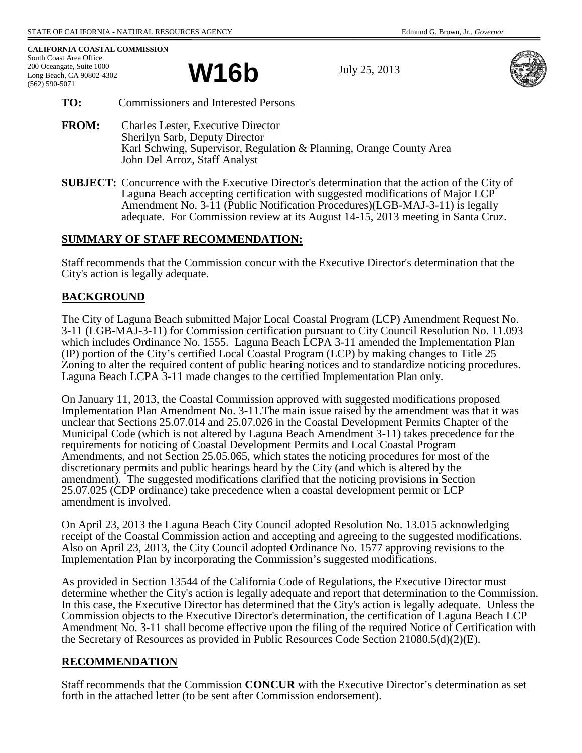**CALIFORNIA COASTAL COMMISSION** South Coast Area Office 200 Oceangate, Suite 1000 Long Beach, CA 90802-4302 (562) 590-5071

W16**b** July 25, 2013



- **TO:** Commissioners and Interested Persons
- **FROM:** Charles Lester, Executive Director Sherilyn Sarb, Deputy Director Karl Schwing, Supervisor, Regulation & Planning, Orange County Area John Del Arroz, Staff Analyst
- **SUBJECT:** Concurrence with the Executive Director's determination that the action of the City of Laguna Beach accepting certification with suggested modifications of Major LCP Amendment No. 3-11 (Public Notification Procedures)(LGB-MAJ-3-11) is legally adequate. For Commission review at its August 14-15, 2013 meeting in Santa Cruz.

## **SUMMARY OF STAFF RECOMMENDATION:**

Staff recommends that the Commission concur with the Executive Director's determination that the City's action is legally adequate.

# **BACKGROUND**

The City of Laguna Beach submitted Major Local Coastal Program (LCP) Amendment Request No. 3-11 (LGB-MAJ-3-11) for Commission certification pursuant to City Council Resolution No. 11.093 which includes Ordinance No. 1555. Laguna Beach LCPA 3-11 amended the Implementation Plan (IP) portion of the City's certified Local Coastal Program (LCP) by making changes to Title 25 Zoning to alter the required content of public hearing notices and to standardize noticing procedures. Laguna Beach LCPA 3-11 made changes to the certified Implementation Plan only.

On January 11, 2013, the Coastal Commission approved with suggested modifications proposed Implementation Plan Amendment No. 3-11.The main issue raised by the amendment was that it was unclear that Sections 25.07.014 and 25.07.026 in the Coastal Development Permits Chapter of the Municipal Code (which is not altered by Laguna Beach Amendment 3-11) takes precedence for the requirements for noticing of Coastal Development Permits and Local Coastal Program Amendments, and not Section 25.05.065, which states the noticing procedures for most of the discretionary permits and public hearings heard by the City (and which is altered by the amendment). The suggested modifications clarified that the noticing provisions in Section 25.07.025 (CDP ordinance) take precedence when a coastal development permit or LCP amendment is involved.

On April 23, 2013 the Laguna Beach City Council adopted Resolution No. 13.015 acknowledging receipt of the Coastal Commission action and accepting and agreeing to the suggested modifications. Also on April 23, 2013, the City Council adopted Ordinance No. 1577 approving revisions to the Implementation Plan by incorporating the Commission's suggested modifications.

As provided in Section 13544 of the California Code of Regulations, the Executive Director must determine whether the City's action is legally adequate and report that determination to the Commission. In this case, the Executive Director has determined that the City's action is legally adequate. Unless the Commission objects to the Executive Director's determination, the certification of Laguna Beach LCP Amendment No. 3-11 shall become effective upon the filing of the required Notice of Certification with the Secretary of Resources as provided in Public Resources Code Section 21080.5(d)(2)(E).

# **RECOMMENDATION**

Staff recommends that the Commission **CONCUR** with the Executive Director's determination as set forth in the attached letter (to be sent after Commission endorsement).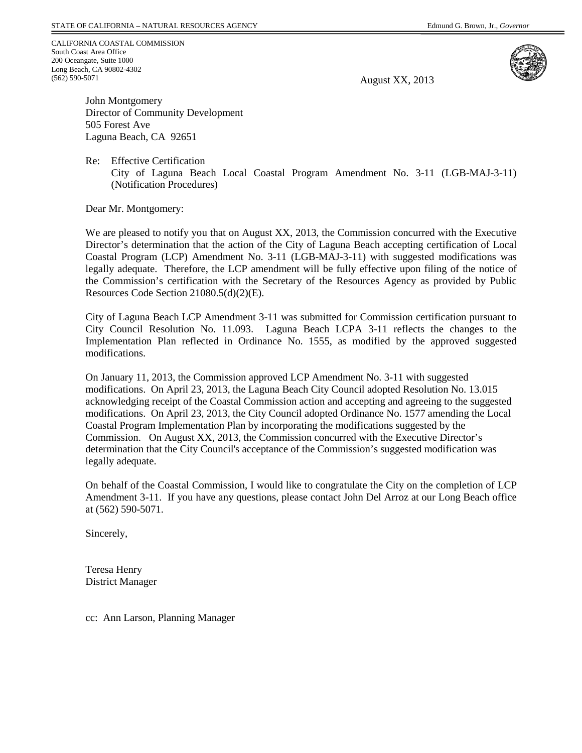CALIFORNIA COASTAL COMMISSION South Coast Area Office 200 Oceangate, Suite 1000 Long Beach, CA 90802-4302 (562) 590-5071

August XX, 2013



John Montgomery Director of Community Development 505 Forest Ave Laguna Beach, CA 92651

Re: Effective Certification

City of Laguna Beach Local Coastal Program Amendment No. 3-11 (LGB-MAJ-3-11) (Notification Procedures)

Dear Mr. Montgomery:

We are pleased to notify you that on August XX, 2013, the Commission concurred with the Executive Director's determination that the action of the City of Laguna Beach accepting certification of Local Coastal Program (LCP) Amendment No. 3-11 (LGB-MAJ-3-11) with suggested modifications was legally adequate. Therefore, the LCP amendment will be fully effective upon filing of the notice of the Commission's certification with the Secretary of the Resources Agency as provided by Public Resources Code Section 21080.5(d)(2)(E).

City of Laguna Beach LCP Amendment 3-11 was submitted for Commission certification pursuant to City Council Resolution No. 11.093. Laguna Beach LCPA 3-11 reflects the changes to the Implementation Plan reflected in Ordinance No. 1555, as modified by the approved suggested modifications.

On January 11, 2013, the Commission approved LCP Amendment No. 3-11 with suggested modifications. On April 23, 2013, the Laguna Beach City Council adopted Resolution No. 13.015 acknowledging receipt of the Coastal Commission action and accepting and agreeing to the suggested modifications. On April 23, 2013, the City Council adopted Ordinance No. 1577 amending the Local Coastal Program Implementation Plan by incorporating the modifications suggested by the Commission. On August XX, 2013, the Commission concurred with the Executive Director's determination that the City Council's acceptance of the Commission's suggested modification was legally adequate.

On behalf of the Coastal Commission, I would like to congratulate the City on the completion of LCP Amendment 3-11. If you have any questions, please contact John Del Arroz at our Long Beach office at (562) 590-5071.

Sincerely,

Teresa Henry District Manager

cc: Ann Larson, Planning Manager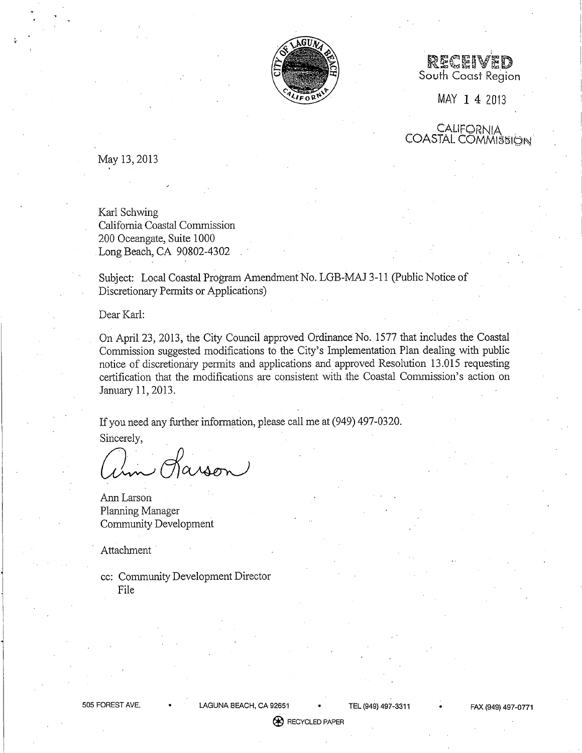

RECEIVED South Coast Region

MAY 1 4 2013

CALIFORNIA **COASTAL COMMISSION** 

May 13, 2013

Karl Schwing California Coastal Commission 200 Oceangate, Suite 1000 Long Beach, CA 90802-4302

Subject: Local Coastal Program Amendment No. LGB-MAJ 3-11 (Public Notice of Discretionary Permits or Applications)

Dear Karl:

On April 23, 2013, the City Council approved Ordinance No. 1577 that includes the Coastal Commission suggested modifications to the City's Implementation Plan dealing with public notice of discretionary permits and applications and approved Resolution 13.015 requesting certification that the modifications are consistent with the Coastal Commission's action on January 11, 2013.

If you need any further information, please call me at (949) 497-0320.

Sincerely,

Karson

Ann Larson Planning Manager **Community Development** 

Attachment

cc: Community Development Director File

LAGUNA BEACH, CA 92651 TEL (949) 497-3311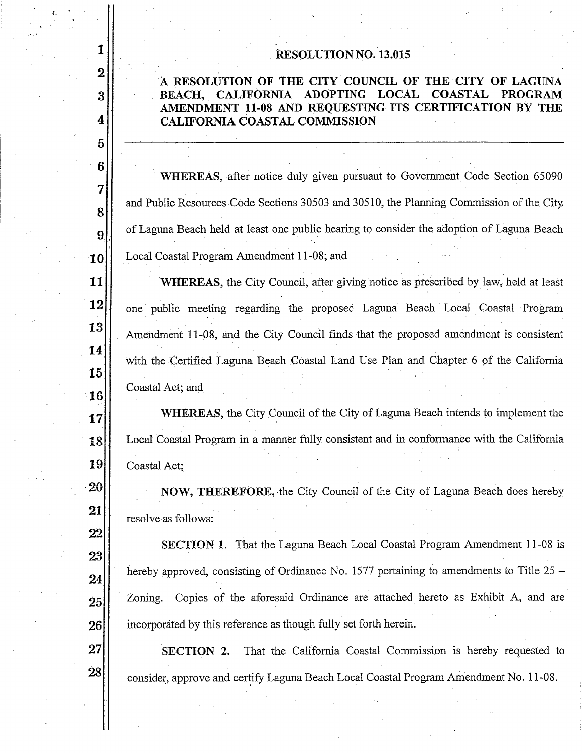## **RESOLUTION NO. 13.015**

1

 $\overline{2}$ 

3

4

 $\overline{5}$ 

6

7

8

9

10

11

12

13

14

15

 $\vert 16 \vert$ 

17

18

19

20

21

22

23

24

25

26

27

28

## A RESOLUTION OF THE CITY COUNCIL OF THE CITY OF LAGUNA ADOPTING LOCAL COASTAL **BEACH. CALIFORNIA PROGRAM** AMENDMENT 11-08 AND REQUESTING ITS CERTIFICATION BY THE **CALIFORNIA COASTAL COMMISSION**

**WHEREAS**, after notice duly given pursuant to Government Code Section 65090 and Public Resources Code Sections 30503 and 30510, the Planning Commission of the City. of Laguna Beach held at least one public hearing to consider the adoption of Laguna Beach Local Coastal Program Amendment 11-08; and

**WHEREAS**, the City Council, after giving notice as prescribed by law, held at least one public meeting regarding the proposed Laguna Beach Local Coastal Program Amendment 11-08, and the City Council finds that the proposed amendment is consistent with the Certified Laguna Beach Coastal Land Use Plan and Chapter 6 of the California Coastal Act; and

**WHEREAS**, the City Council of the City of Laguna Beach intends to implement the Local Coastal Program in a manner fully consistent and in conformance with the California Coastal Act;

NOW, THEREFORE, the City Council of the City of Laguna Beach does hereby resolve as follows:

SECTION 1. That the Laguna Beach Local Coastal Program Amendment 11-08 is hereby approved, consisting of Ordinance No. 1577 pertaining to amendments to Title  $25 -$ Copies of the aforesaid Ordinance are attached hereto as Exhibit A, and are Zoning. incorporated by this reference as though fully set forth herein.

SECTION 2. That the California Coastal Commission is hereby requested to consider, approve and certify Laguna Beach Local Coastal Program Amendment No. 11-08.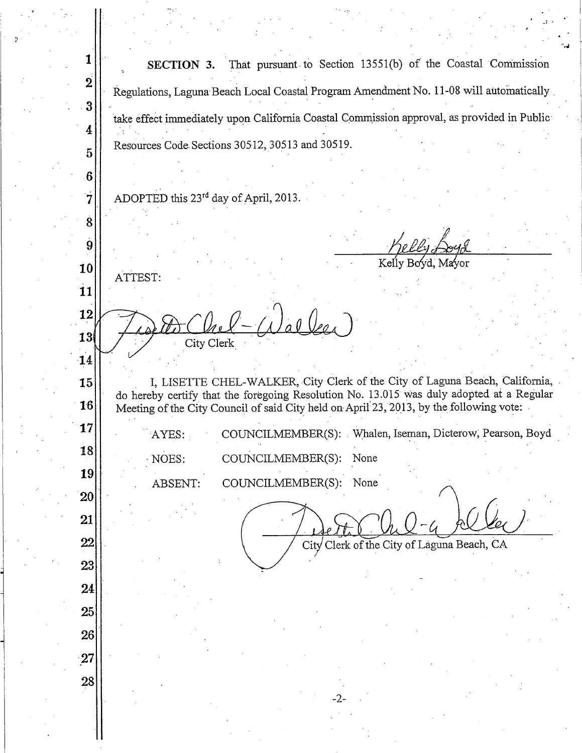$\mathbf{1}$ That pursuant to Section 13551(b) of the Coastal Commission SECTION 3.  $\overline{2}$ Regulations, Laguna Beach Local Coastal Program Amendment No. 11-08 will automatically 3 take effect immediately upon California Coastal Commission approval, as provided in Public  $\overline{\mathbf{4}}$ Resources Code Sections 30512, 30513 and 30519. 5 6 ADOPTED this 23<sup>rd</sup> day of April, 2013. 7  $\dot{8}$ 9 10 ATTEST: 11 12 o O Veo 13 City Clerk 14 I, LISETTE CHEL-WALKER, City Clerk of the City of Laguna Beach, California, 15 do hereby certify that the foregoing Resolution No. 13.015 was duly adopted at a Regular 16 Meeting of the City Council of said City held on April 23, 2013, by the following vote: 17 COUNCILMEMBER(S): Whalen, Iseman, Dicterow, Pearson, Boyd AYES: 18 NOES: COUNCILMEMBER(S): None 19 ABSENT: COUNCILMEMBER(S): None 20 21 22 City Clerk of the City of Laguna Beach, CA 23 24 25 26 27 28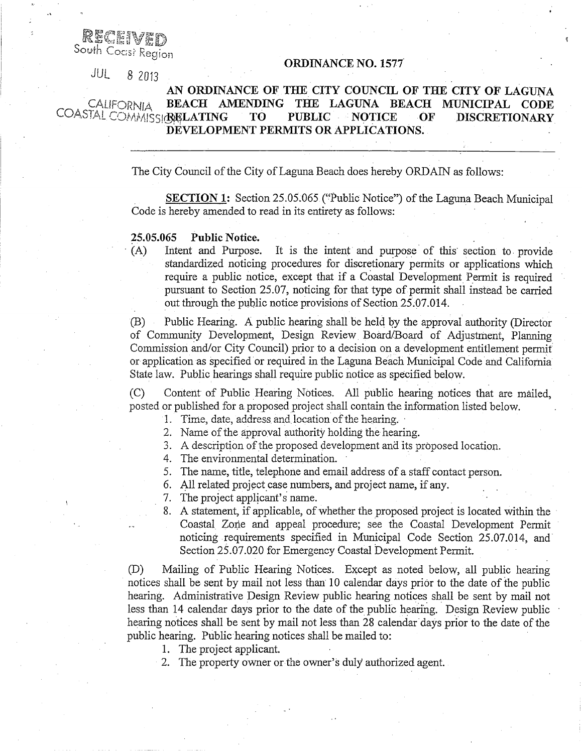RECEIVED South Coast Region

**ORDINANCE NO. 1577** 

JUL 8 2013

#### AN ORDINANCE OF THE CITY COUNCIL OF THE CITY OF LAGUNA CALIFORNIA BEACH AMENDING THE LAGUNA BEACH MUNICIPAL CODE COASTAL COMMISSIONLATING **PUBLIC** T<sub>O</sub> **NOTICE** ÓF **DISCRETIONARY** DEVELOPMENT PERMITS OR APPLICATIONS.

The City Council of the City of Laguna Beach does hereby ORDAIN as follows:

**SECTION 1:** Section 25.05.065 ("Public Notice") of the Laguna Beach Municipal Code is hereby amended to read in its entirety as follows:

### Public Notice. 25.05.065

It is the intent and purpose of this section to provide  $(A)$ Intent and Purpose. standardized noticing procedures for discretionary permits or applications which require a public notice, except that if a Coastal Development Permit is required pursuant to Section 25.07, noticing for that type of permit shall instead be carried out through the public notice provisions of Section 25.07.014.

Public Hearing. A public hearing shall be held by the approval authority (Director (B) of Community Development, Design Review Board/Board of Adjustment, Planning Commission and/or City Council) prior to a decision on a development entitlement permit or application as specified or required in the Laguna Beach Municipal Code and California State law. Public hearings shall require public notice as specified below.

Content of Public Hearing Notices. All public hearing notices that are mailed,  $(C)$ posted or published for a proposed project shall contain the information listed below.

1. Time, date, address and location of the hearing.

2. Name of the approval authority holding the hearing.

3. A description of the proposed development and its proposed location.

4. The environmental determination.

5. The name, title, telephone and email address of a staff contact person.

6. All related project case numbers, and project name, if any.

7. The project applicant's name.

8. A statement, if applicable, of whether the proposed project is located within the Coastal Zone and appeal procedure; see the Coastal Development Permit noticing requirements specified in Municipal Code Section 25.07.014, and Section 25.07.020 for Emergency Coastal Development Permit.

 $(D)$ Mailing of Public Hearing Notices. Except as noted below, all public hearing notices shall be sent by mail not less than 10 calendar days prior to the date of the public hearing. Administrative Design Review public hearing notices shall be sent by mail not less than 14 calendar days prior to the date of the public hearing. Design Review public hearing notices shall be sent by mail not less than 28 calendar days prior to the date of the public hearing. Public hearing notices shall be mailed to:

1. The project applicant.

2. The property owner or the owner's duly authorized agent.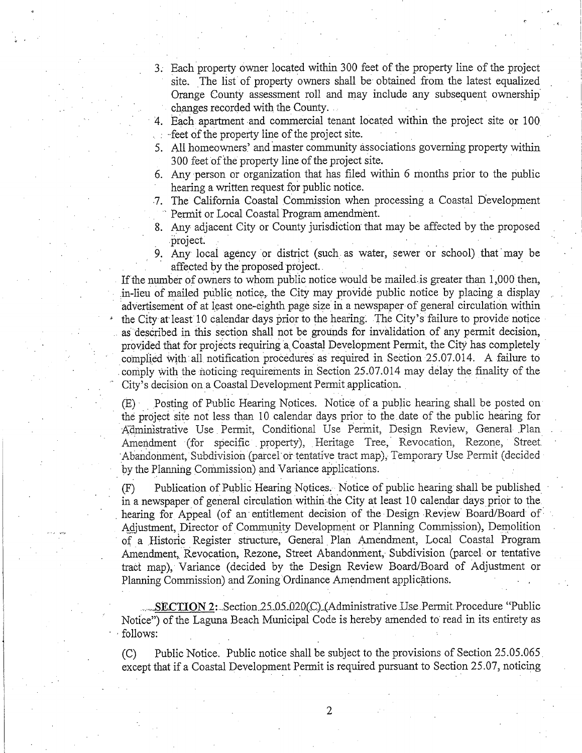3. Each property owner located within 300 feet of the property line of the project site. The list of property owners shall be obtained from the latest equalized Orange County assessment roll and may include any subsequent ownership changes recorded with the County.

4. Each apartment and commercial tenant located within the project site or 100 feet of the property line of the project site.

- 5. All homeowners' and master community associations governing property within 300 feet of the property line of the project site.
- 6. Any person or organization that has filed within 6 months prior to the public hearing a written request for public notice.
- 7. The California Coastal Commission when processing a Coastal Development Permit or Local Coastal Program amendment.
- 8. Any adjacent City or County jurisdiction that may be affected by the proposed project.
- 9. Any local agency or district (such as water, sewer or school) that may be affected by the proposed project.

If the number of owners to whom public notice would be mailed is greater than 1,000 then, in-lieu of mailed public notice, the City may provide public notice by placing a display advertisement of at least one-eighth page size in a newspaper of general circulation within the City at least 10 calendar days prior to the hearing. The City's failure to provide notice as described in this section shall not be grounds for invalidation of any permit decision, provided that for projects requiring a Coastal Development Permit, the City has completely complied with all notification procedures as required in Section 25.07.014. A failure to comply with the noticing requirements in Section 25.07.014 may delay the finality of the City's decision on a Coastal Development Permit application.

(E) Posting of Public Hearing Notices. Notice of a public hearing shall be posted on the project site not less than 10 calendar days prior to the date of the public hearing for Administrative Use Permit, Conditional Use Permit, Design Review, General Plan Amendment (for specific property), Heritage Tree, Revocation, Rezone, Street Abandonment, Subdivision (parcel or tentative tract map), Temporary Use Permit (decided by the Planning Commission) and Variance applications.

Publication of Public Hearing Notices. Notice of public hearing shall be published  $(F)$ in a newspaper of general circulation within the City at least 10 calendar days prior to the hearing for Appeal (of an entitlement decision of the Design Review Board/Board of Adjustment, Director of Community Development or Planning Commission), Demolition of a Historic Register structure, General Plan Amendment, Local Coastal Program Amendment, Revocation, Rezone, Street Abandonment, Subdivision (parcel or tentative tract map), Variance (decided by the Design Review Board/Board of Adjustment or Planning Commission) and Zoning Ordinance Amendment applications.

SECTION 2: Section 25.05.020(C) (Administrative Use Permit Procedure "Public" Notice") of the Laguna Beach Municipal Code is hereby amended to read in its entirety as follows:

Public Notice. Public notice shall be subject to the provisions of Section 25.05.065  $(C)$ except that if a Coastal Development Permit is required pursuant to Section 25.07, noticing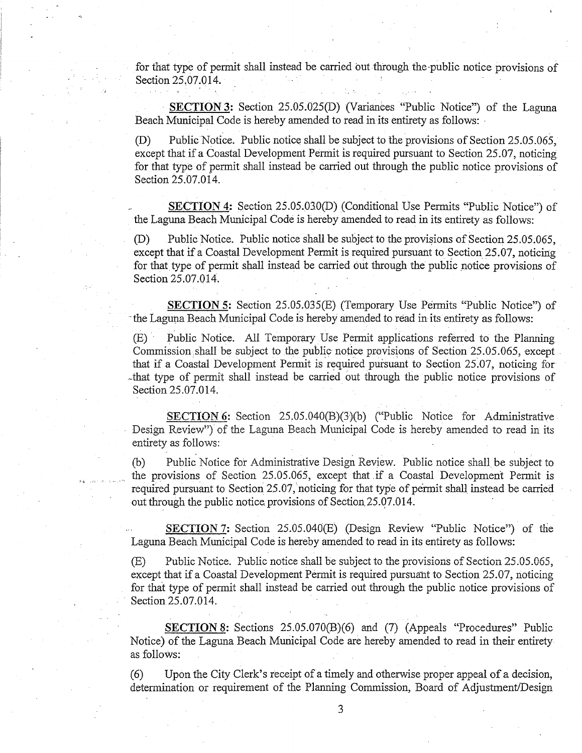for that type of permit shall instead be carried out through the public notice provisions of Section 25.07.014.

**SECTION 3:** Section 25.05.025(D) (Variances "Public Notice") of the Laguna Beach Municipal Code is hereby amended to read in its entirety as follows:

Public Notice. Public notice shall be subject to the provisions of Section 25.05.065.  $(D)$ except that if a Coastal Development Permit is required pursuant to Section 25.07, noticing for that type of permit shall instead be carried out through the public notice provisions of Section 25.07.014.

SECTION 4: Section 25.05.030(D) (Conditional Use Permits "Public Notice") of the Laguna Beach Municipal Code is hereby amended to read in its entirety as follows:

Public Notice. Public notice shall be subject to the provisions of Section 25.05.065,  $(D)$ except that if a Coastal Development Permit is required pursuant to Section 25.07, noticing for that type of permit shall instead be carried out through the public notice provisions of Section 25.07.014.

SECTION 5: Section 25.05.035(E) (Temporary Use Permits "Public Notice") of the Laguna Beach Municipal Code is hereby amended to read in its entirety as follows:

Public Notice. All Temporary Use Permit applications referred to the Planning  $(E)$ Commission shall be subject to the public notice provisions of Section 25.05.065, except that if a Coastal Development Permit is required pursuant to Section 25.07, noticing for that type of permit shall instead be carried out through the public notice provisions of Section 25.07.014.

**SECTION 6:** Section  $25.05.040(B)(3)(b)$  ("Public Notice for Administrative Design Review") of the Laguna Beach Municipal Code is hereby amended to read in its entirety as follows:

Public Notice for Administrative Design Review. Public notice shall be subject to  $(b)$ the provisions of Section 25.05.065, except that if a Coastal Development Permit is required pursuant to Section 25.07, noticing for that type of permit shall instead be carried out through the public notice provisions of Section 25.07.014.

SECTION 7: Section 25.05.040(E) (Design Review "Public Notice") of the Laguna Beach Municipal Code is hereby amended to read in its entirety as follows:

 $(E)$ Public Notice. Public notice shall be subject to the provisions of Section 25.05.065, except that if a Coastal Development Permit is required pursuant to Section 25.07, noticing for that type of permit shall instead be carried out through the public notice provisions of Section 25.07.014.

**SECTION 8:** Sections 25.05.070(B)(6) and (7) (Appeals "Procedures" Public Notice) of the Laguna Beach Municipal Code are hereby amended to read in their entirety as follows:

Upon the City Clerk's receipt of a timely and otherwise proper appeal of a decision,  $(6)$ determination or requirement of the Planning Commission, Board of Adjustment/Design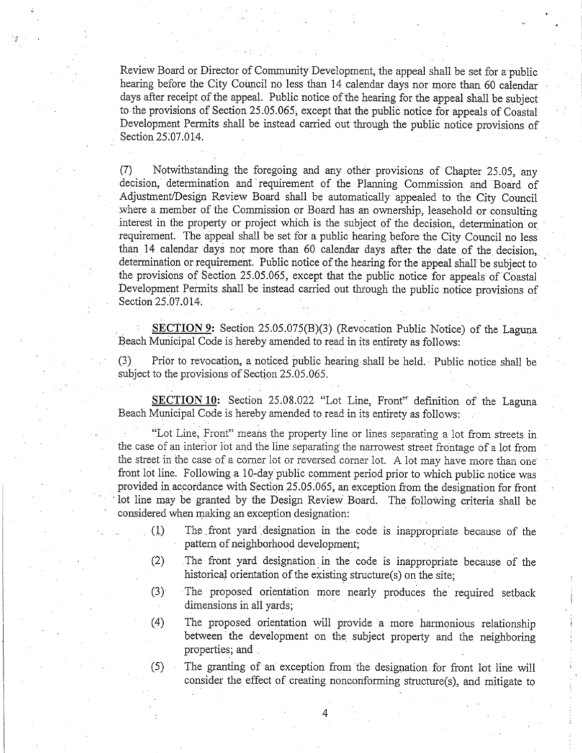Review Board or Director of Community Development, the appeal shall be set for a public hearing before the City Council no less than 14 calendar days nor more than 60 calendar days after receipt of the appeal. Public notice of the hearing for the appeal shall be subject to the provisions of Section 25.05.065, except that the public notice for appeals of Coastal Development Permits shall be instead carried out through the public notice provisions of Section 25.07.014.

Notwithstanding the foregoing and any other provisions of Chapter 25.05, any  $(7)$ decision, determination and requirement of the Planning Commission and Board of Adjustment/Design Review Board shall be automatically appealed to the City Council where a member of the Commission or Board has an ownership, leasehold or consulting interest in the property or project which is the subject of the decision, determination or requirement. The appeal shall be set for a public hearing before the City Council no less than 14 calendar days nor more than 60 calendar days after the date of the decision. determination or requirement. Public notice of the hearing for the appeal shall be subject to the provisions of Section 25.05.065, except that the public notice for appeals of Coastal Development Permits shall be instead carried out through the public notice provisions of Section 25.07.014.

SECTION 9: Section 25.05.075(B)(3) (Revocation Public Notice) of the Laguna Beach Municipal Code is hereby amended to read in its entirety as follows:

Prior to revocation, a noticed public hearing shall be held. Public notice shall be  $(3)$ subject to the provisions of Section 25.05.065.

**SECTION 10:** Section 25.08.022 "Lot Line, Front" definition of the Laguna Beach Municipal Code is hereby amended to read in its entirety as follows:

"Lot Line, Front" means the property line or lines separating a lot from streets in the case of an interior lot and the line separating the narrowest street frontage of a lot from the street in the case of a corner lot or reversed corner lot. A lot may have more than one front lot line. Following a 10-day public comment period prior to which public notice was provided in accordance with Section 25.05.065, an exception from the designation for front lot line may be granted by the Design Review Board. The following criteria shall be considered when making an exception designation:

- The front yard designation in the code is inappropriate because of the  $(1)$ pattern of neighborhood development;
- $(2)$ The front yard designation in the code is inappropriate because of the historical orientation of the existing structure(s) on the site;
- $(3)$ The proposed orientation more nearly produces the required setback dimensions in all vards;
- $(4)$ The proposed orientation will provide a more harmonious relationship between the development on the subject property and the neighboring properties; and

 $(5)$ The granting of an exception from the designation for front lot line will consider the effect of creating nonconforming structure(s), and mitigate to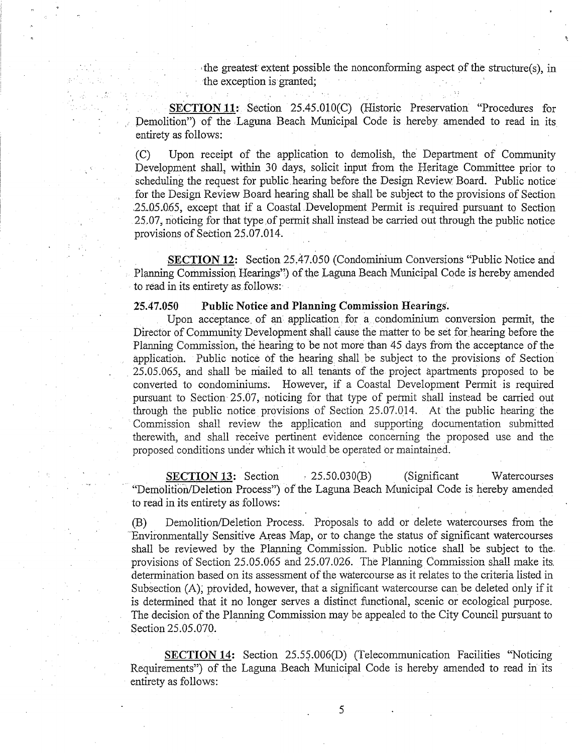the greatest extent possible the nonconforming aspect of the structure(s), in the exception is granted;

SECTION 11: Section 25.45.010(C) (Historic Preservation "Procedures for Demolition") of the Laguna Beach Municipal Code is hereby amended to read in its entirety as follows:

 $(C)$ Upon receipt of the application to demolish, the Department of Community Development shall, within 30 days, solicit input from the Heritage Committee prior to scheduling the request for public hearing before the Design Review Board. Public notice for the Design Review Board hearing shall be shall be subject to the provisions of Section 25.05.065, except that if a Coastal Development Permit is required pursuant to Section 25.07, noticing for that type of permit shall instead be carried out through the public notice provisions of Section 25.07.014.

SECTION 12: Section 25,47.050 (Condominium Conversions "Public Notice and Planning Commission Hearings") of the Laguna Beach Municipal Code is hereby amended to read in its entirety as follows:

### **Public Notice and Planning Commission Hearings.** 25,47,050

Upon acceptance of an application for a condominium conversion permit, the Director of Community Development shall cause the matter to be set for hearing before the Planning Commission, the hearing to be not more than 45 days from the acceptance of the application. Public notice of the hearing shall be subject to the provisions of Section 25.05.065, and shall be mailed to all tenants of the project apartments proposed to be converted to condominiums. However, if a Coastal Development Permit is required pursuant to Section 25.07, noticing for that type of permit shall instead be carried out through the public notice provisions of Section 25.07.014. At the public hearing the Commission shall review the application and supporting documentation submitted therewith, and shall receive pertinent evidence concerning the proposed use and the proposed conditions under which it would be operated or maintained.

**SECTION 13: Section**  $\cdot$  25.50.030(B) (Significant Watercourses "Demolition/Deletion Process") of the Laguna Beach Municipal Code is hereby amended to read in its entirety as follows:

Demolition/Deletion Process. Proposals to add or delete watercourses from the (B) Environmentally Sensitive Areas Map, or to change the status of significant watercourses shall be reviewed by the Planning Commission. Public notice shall be subject to the provisions of Section 25.05.065 and 25.07.026. The Planning Commission shall make its. determination based on its assessment of the watercourse as it relates to the criteria listed in Subsection (A), provided, however, that a significant watercourse can be deleted only if it is determined that it no longer serves a distinct functional, scenic or ecological purpose. The decision of the Planning Commission may be appealed to the City Council pursuant to Section 25.05.070.

SECTION 14: Section 25.55.006(D) (Telecommunication Facilities "Noticing Requirements") of the Laguna Beach Municipal Code is hereby amended to read in its entirety as follows: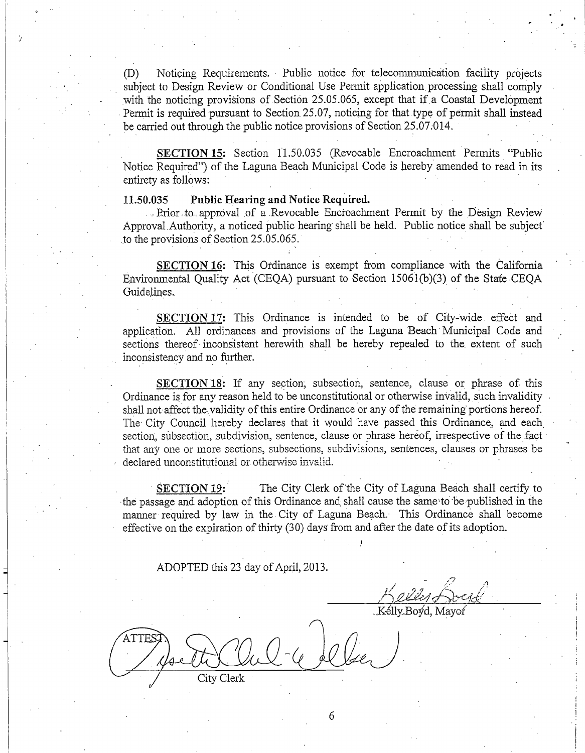Noticing Requirements. Public notice for telecommunication facility projects  $(D)$ subject to Design Review or Conditional Use Permit application processing shall comply with the noticing provisions of Section 25.05.065, except that if a Coastal Development Permit is required pursuant to Section 25.07, noticing for that type of permit shall instead be carried out through the public notice provisions of Section 25.07.014.

SECTION 15: Section 11.50.035 (Revocable Encroachment Permits "Public Notice Required") of the Laguna Beach Municipal Code is hereby amended to read in its entirety as follows:

### Public Hearing and Notice Required. 11.50.035

J,

Prior to approval of a Revocable Encroachment Permit by the Design Review Approval Authority, a noticed public hearing shall be held. Public notice shall be subject to the provisions of Section 25.05.065.

SECTION 16: This Ordinance is exempt from compliance with the California Environmental Quality Act (CEQA) pursuant to Section 15061(b)(3) of the State CEQA Guidelines.

SECTION 17: This Ordinance is intended to be of City-wide effect and application. All ordinances and provisions of the Laguna Beach Municipal Code and sections thereof inconsistent herewith shall be hereby repealed to the extent of such inconsistency and no further.

SECTION 18: If any section, subsection, sentence, clause or phrase of this Ordinance is for any reason held to be unconstitutional or otherwise invalid, such invalidity shall not affect the validity of this entire Ordinance or any of the remaining portions hereof. The City Council hereby declares that it would have passed this Ordinance, and each section, subsection, subdivision, sentence, clause or phrase hereof, irrespective of the fact that any one or more sections, subsections, subdivisions, sentences, clauses or phrases be declared unconstitutional or otherwise invalid.

The City Clerk of the City of Laguna Beach shall certify to **SECTION 19:** the passage and adoption of this Ordinance and shall cause the same to be published in the manner required by law in the City of Laguna Beach. This Ordinance shall become effective on the expiration of thirty (30) days from and after the date of its adoption.

ADOPTED this 23 day of April, 2013.

Kélly Boyd, Mayo

City Clerk

6